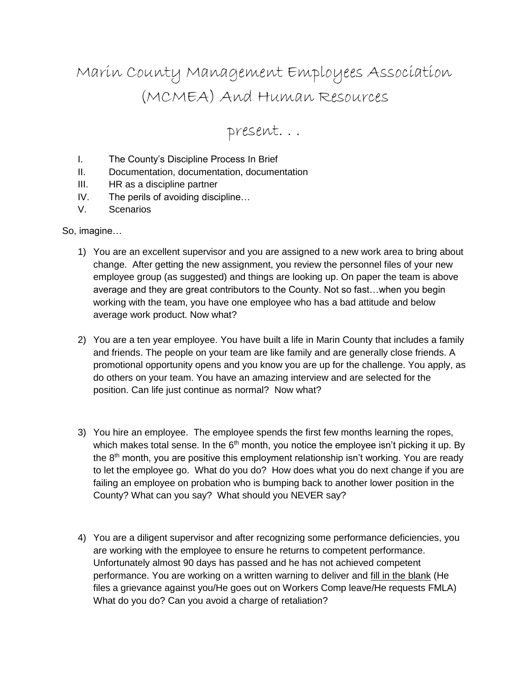# Marin County Management Employees Association (MCMEA) And Human Resources

present. . .

- I. The County's Discipline Process In Brief
- II. Documentation, documentation, documentation
- III. HR as a discipline partner
- IV. The perils of avoiding discipline…
- V. Scenarios

#### So, imagine…

- 1) You are an excellent supervisor and you are assigned to a new work area to bring about change. After getting the new assignment, you review the personnel files of your new employee group (as suggested) and things are looking up. On paper the team is above average and they are great contributors to the County. Not so fast…when you begin working with the team, you have one employee who has a bad attitude and below average work product. Now what?
- 2) You are a ten year employee. You have built a life in Marin County that includes a family and friends. The people on your team are like family and are generally close friends. A promotional opportunity opens and you know you are up for the challenge. You apply, as do others on your team. You have an amazing interview and are selected for the position. Can life just continue as normal? Now what?
- 3) You hire an employee. The employee spends the first few months learning the ropes, which makes total sense. In the  $6<sup>th</sup>$  month, you notice the employee isn't picking it up. By the  $8<sup>th</sup>$  month, you are positive this employment relationship isn't working. You are ready to let the employee go. What do you do? How does what you do next change if you are failing an employee on probation who is bumping back to another lower position in the County? What can you say? What should you NEVER say?
- 4) You are a diligent supervisor and after recognizing some performance deficiencies, you are working with the employee to ensure he returns to competent performance. Unfortunately almost 90 days has passed and he has not achieved competent performance. You are working on a written warning to deliver and fill in the blank (He files a grievance against you/He goes out on Workers Comp leave/He requests FMLA) What do you do? Can you avoid a charge of retaliation?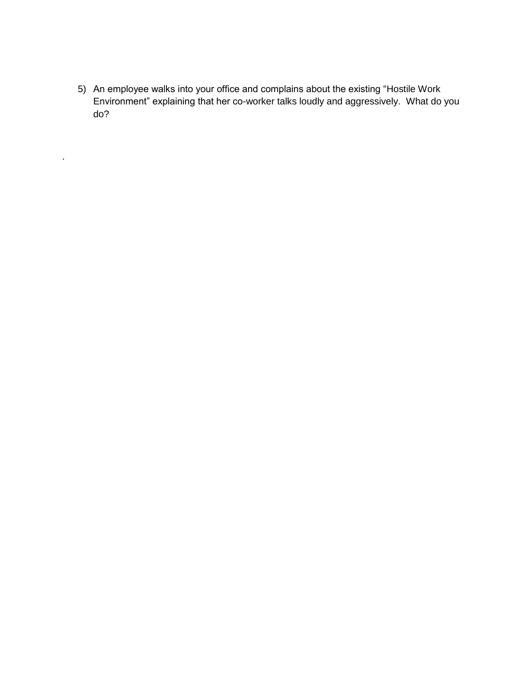5) An employee walks into your office and complains about the existing "Hostile Work Environment" explaining that her co-worker talks loudly and aggressively. What do you do?

.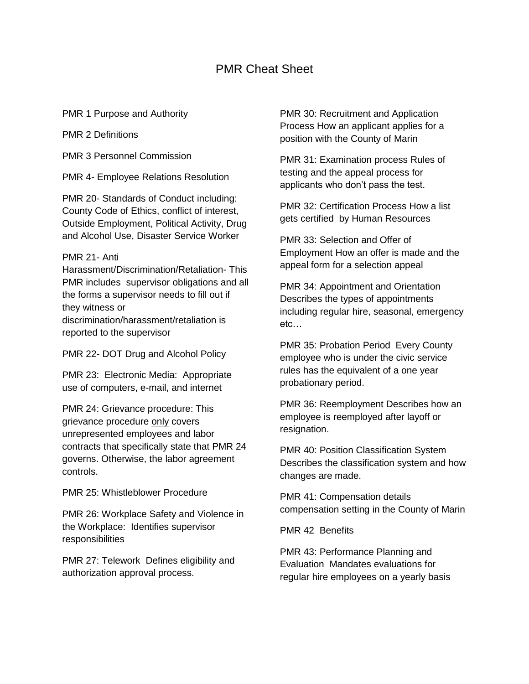#### PMR Cheat Sheet

PMR 1 Purpose and Authority

PMR 2 Definitions

PMR 3 Personnel Commission

PMR 4- Employee Relations Resolution

PMR 20- Standards of Conduct including: County Code of Ethics, conflict of interest, Outside Employment, Political Activity, Drug and Alcohol Use, Disaster Service Worker

#### PMR 21- Anti

Harassment/Discrimination/Retaliation- This PMR includes supervisor obligations and all the forms a supervisor needs to fill out if they witness or discrimination/harassment/retaliation is reported to the supervisor

PMR 22- DOT Drug and Alcohol Policy

PMR 23: Electronic Media: Appropriate use of computers, e-mail, and internet

PMR 24: Grievance procedure: This grievance procedure only covers unrepresented employees and labor contracts that specifically state that PMR 24 governs. Otherwise, the labor agreement controls.

PMR 25: Whistleblower Procedure

PMR 26: Workplace Safety and Violence in the Workplace: Identifies supervisor responsibilities

PMR 27: Telework Defines eligibility and authorization approval process.

PMR 30: Recruitment and Application Process How an applicant applies for a position with the County of Marin

PMR 31: Examination process Rules of testing and the appeal process for applicants who don't pass the test.

PMR 32: Certification Process How a list gets certified by Human Resources

PMR 33: Selection and Offer of Employment How an offer is made and the appeal form for a selection appeal

PMR 34: Appointment and Orientation Describes the types of appointments including regular hire, seasonal, emergency etc…

PMR 35: Probation Period Every County employee who is under the civic service rules has the equivalent of a one year probationary period.

PMR 36: Reemployment Describes how an employee is reemployed after layoff or resignation.

PMR 40: Position Classification System Describes the classification system and how changes are made.

PMR 41: Compensation details compensation setting in the County of Marin

PMR 42 Benefits

PMR 43: Performance Planning and Evaluation Mandates evaluations for regular hire employees on a yearly basis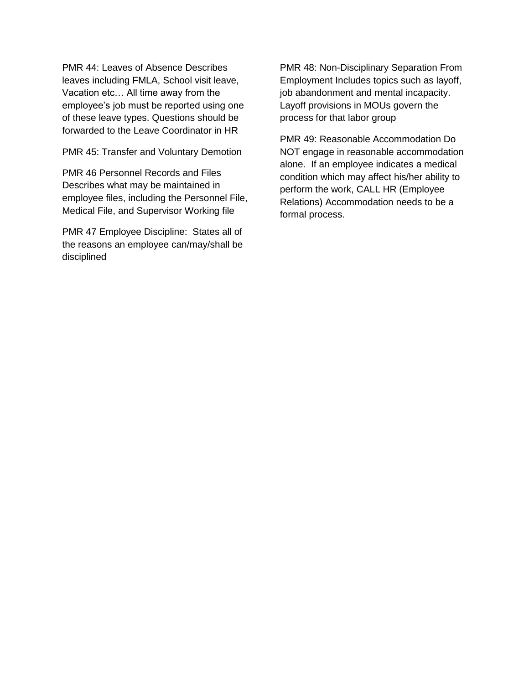PMR 44: Leaves of Absence Describes leaves including FMLA, School visit leave, Vacation etc… All time away from the employee's job must be reported using one of these leave types. Questions should be forwarded to the Leave Coordinator in HR

PMR 45: Transfer and Voluntary Demotion

PMR 46 Personnel Records and Files Describes what may be maintained in employee files, including the Personnel File, Medical File, and Supervisor Working file

PMR 47 Employee Discipline: States all of the reasons an employee can/may/shall be disciplined

PMR 48: Non-Disciplinary Separation From Employment Includes topics such as layoff, job abandonment and mental incapacity. Layoff provisions in MOUs govern the process for that labor group

PMR 49: Reasonable Accommodation Do NOT engage in reasonable accommodation alone. If an employee indicates a medical condition which may affect his/her ability to perform the work, CALL HR (Employee Relations) Accommodation needs to be a formal process.